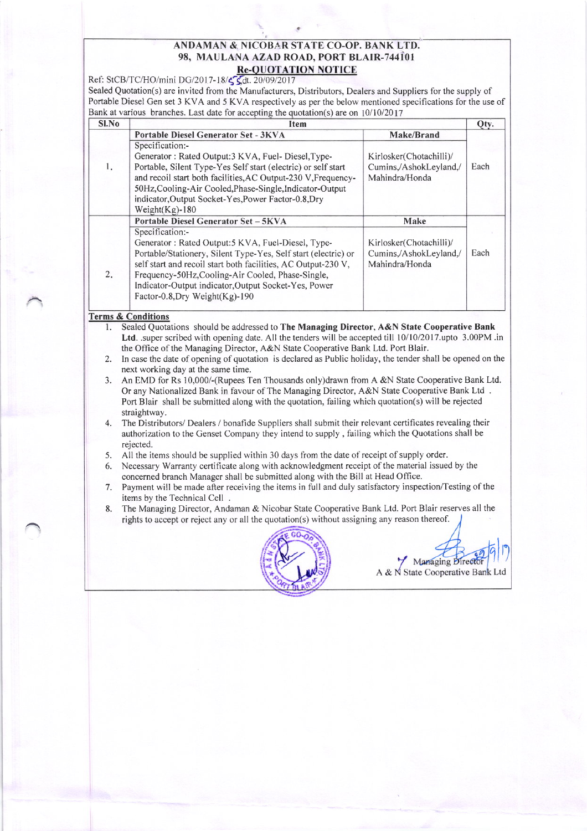## ANDAMAN & NICOBAR STATE CO-OP. BANK LTD. 98, MAULANA AZAD ROAD, PORT BLAIR-744101<br>Re-QUOTATION NOTICE

## Ref: StCB/TC/HO/mini DG/2017-18/ $\zeta$ dt. 20/09/2017

Sealed Quotation(s) are invited from the Manufacturers, Distributors, Dealers and Suppliers for the supply of Portable Diesel Gen set 3 KVA and 5 KVA respectively as per the below mentioned specifications for the use of Bank at various branches. Last date for accepting the quotation(s) are on 10/10/20

| Sl.No | <b>Item</b>                                                                                                                                                                                                                                                                                                                                            |                                                                     | Qty. |
|-------|--------------------------------------------------------------------------------------------------------------------------------------------------------------------------------------------------------------------------------------------------------------------------------------------------------------------------------------------------------|---------------------------------------------------------------------|------|
|       | <b>Portable Diesel Generator Set - 3KVA</b>                                                                                                                                                                                                                                                                                                            | Make/Brand                                                          |      |
| 1.    | Specification:-<br>Generator: Rated Output:3 KVA, Fuel-Diesel, Type-<br>Portable, Silent Type-Yes Self start (electric) or self start<br>and recoil start both facilities, AC Output-230 V, Frequency-<br>50Hz, Cooling-Air Cooled, Phase-Single, Indicator-Output<br>indicator, Output Socket-Yes, Power Factor-0.8, Dry<br>Weight $(Kg)$ -180        | Kirlosker(Chotachilli)/<br>Cumins,/AshokLeyland,/<br>Mahindra/Honda | Each |
|       | <b>Portable Diesel Generator Set - 5KVA</b>                                                                                                                                                                                                                                                                                                            | Make                                                                |      |
| 2.    | Specification:-<br>Generator: Rated Output:5 KVA, Fuel-Diesel, Type-<br>Portable/Stationery, Silent Type-Yes, Self start (electric) or<br>self start and recoil start both facilities, AC Output-230 V,<br>Frequency-50Hz, Cooling-Air Cooled, Phase-Single,<br>Indicator-Output indicator, Output Socket-Yes, Power<br>Factor-0.8, Dry Weight(Kg)-190 | Kirlosker(Chotachilli)/<br>Cumins./AshokLeyland./<br>Mahindra/Honda | Each |

## Terms & Conditions

- l. Sealed Quotations should be addressed to The Managing Director, A&N State Cooperative Bank Ltd. .super scribed with opening date. All the tenders will be accepted till  $10/10/2017$ .upto 3.00PM .in the Office of the Managing Director, A&N State Cooperative Bank Ltd. Port Blair.
- 2. In case the date of opening of quotation is declared as Public holiday, the tender shall be opened on the next working day at the same time.
- 3. An EMD for Rs 10,000/-(Rupees Ten Thousands only)drawn from A &N State Cooperative Bank Ltd. Or any Nationalized Bank in favour of The Managing Director, A&N State Cooperative Bank Ltd . Port Blair shall be submitted along with the quotation, failing which quotation(s) will be rejected straightway.
- 4. The Distributors/ Dealers / bonafide Suppliers shall submit their relevant certificates revealing their authorization to the Genset Company they intend to supply, failing which the Quotations shall be rejected.
- 5. All the items should be supplied within 30 days from the date of receipt of supply order.<br>6. Necessary Warranty certificate along with acknowledgment receipt of the material issued
- Necessary Warranty certificate along with acknowledgment receipt of the material issued by the concerned branch Manager shall be submitted along with the Bill at Head Office.
- 7. Payment will be made after receiving the items in full and duly satisfactory inspection/Testing of the items by the Technical Cell
- 8. The Managing Director, Andaman & Nicobar State Cooperative Bank Ltd. Port Blair reserves all the rights to accept or reject any or all the quotation(s) without assigning any reason thereof.



rl 1l Managing Director A & N State Cooperative Bank Ltd